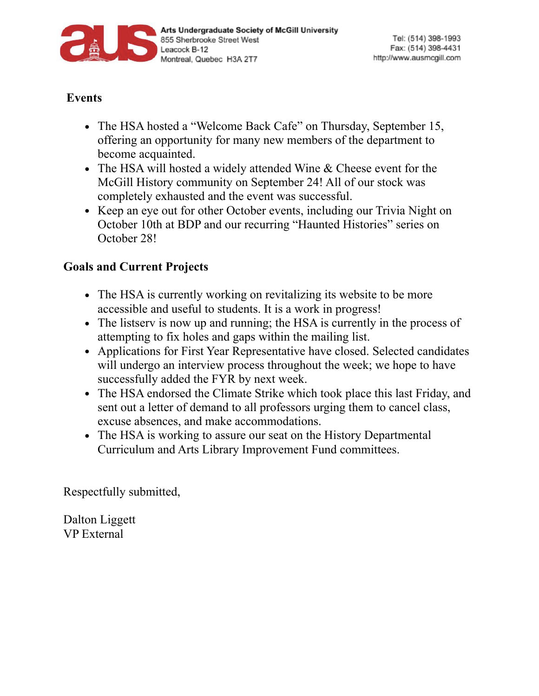

## **Events**

- The HSA hosted a "Welcome Back Cafe" on Thursday, September 15, offering an opportunity for many new members of the department to become acquainted.
- The HSA will hosted a widely attended Wine & Cheese event for the McGill History community on September 24! All of our stock was completely exhausted and the event was successful.
- Keep an eye out for other October events, including our Trivia Night on October 10th at BDP and our recurring "Haunted Histories" series on October 28!

## **Goals and Current Projects**

- The HSA is currently working on revitalizing its website to be more accessible and useful to students. It is a work in progress!
- The listserv is now up and running; the HSA is currently in the process of attempting to fix holes and gaps within the mailing list.
- Applications for First Year Representative have closed. Selected candidates will undergo an interview process throughout the week; we hope to have successfully added the FYR by next week.
- The HSA endorsed the Climate Strike which took place this last Friday, and sent out a letter of demand to all professors urging them to cancel class, excuse absences, and make accommodations.
- The HSA is working to assure our seat on the History Departmental Curriculum and Arts Library Improvement Fund committees.

Respectfully submitted,

Dalton Liggett VP External